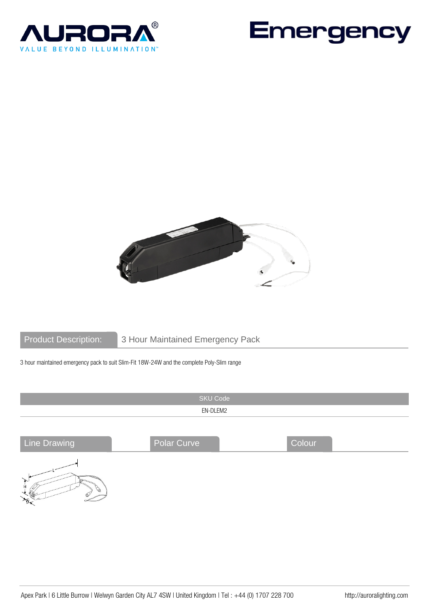





 $\frac{1}{\sqrt{2}}$ 

Product Description: 3 Hour Maintained Emergency Pack

3 hour maintained emergency pack to suit Slim-Fit 18W-24W and the complete Poly-Slim range

|                     | <b>SKU Code</b>    |        |  |  |  |
|---------------------|--------------------|--------|--|--|--|
| EN-DLEM2            |                    |        |  |  |  |
|                     |                    |        |  |  |  |
| <b>Line Drawing</b> | <b>Polar Curve</b> | Colour |  |  |  |
| $\mathbf{u}$        |                    |        |  |  |  |